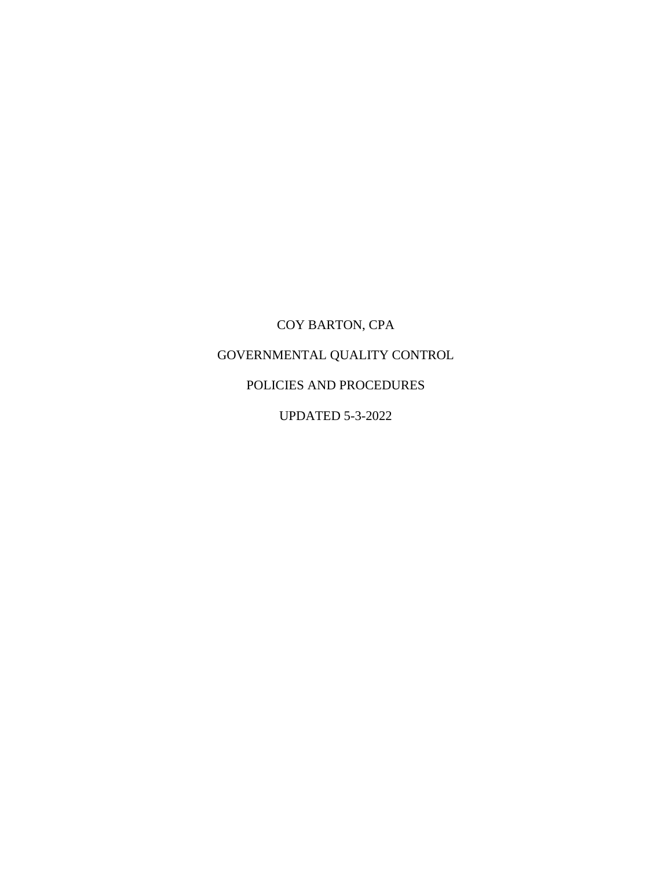# COY BARTON, CPA GOVERNMENTAL QUALITY CONTROL POLICIES AND PROCEDURES

UPDATED 5-3-2022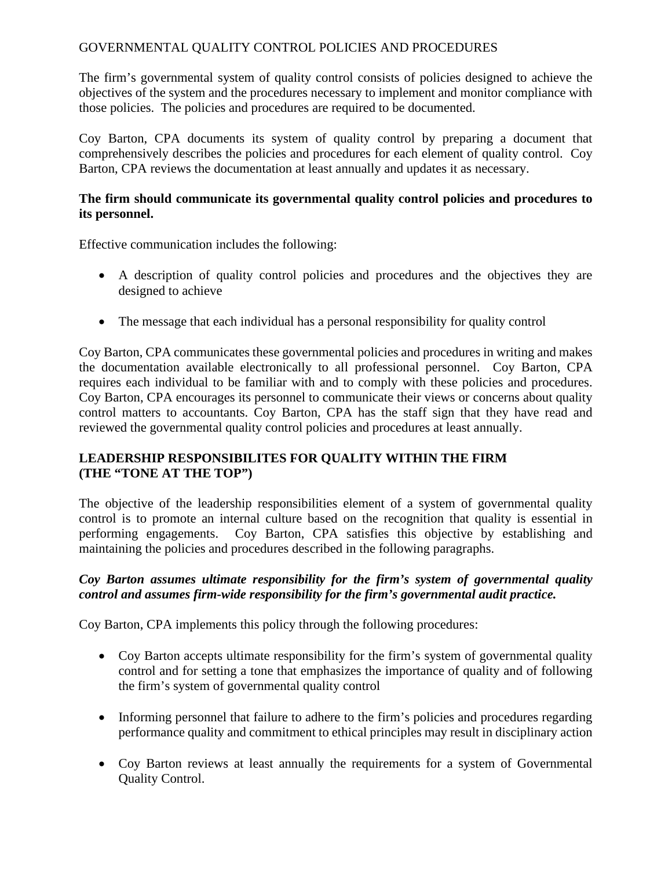# GOVERNMENTAL QUALITY CONTROL POLICIES AND PROCEDURES

The firm's governmental system of quality control consists of policies designed to achieve the objectives of the system and the procedures necessary to implement and monitor compliance with those policies. The policies and procedures are required to be documented.

Coy Barton, CPA documents its system of quality control by preparing a document that comprehensively describes the policies and procedures for each element of quality control. Coy Barton, CPA reviews the documentation at least annually and updates it as necessary.

#### **The firm should communicate its governmental quality control policies and procedures to its personnel.**

Effective communication includes the following:

- A description of quality control policies and procedures and the objectives they are designed to achieve
- The message that each individual has a personal responsibility for quality control

Coy Barton, CPA communicates these governmental policies and procedures in writing and makes the documentation available electronically to all professional personnel. Coy Barton, CPA requires each individual to be familiar with and to comply with these policies and procedures. Coy Barton, CPA encourages its personnel to communicate their views or concerns about quality control matters to accountants. Coy Barton, CPA has the staff sign that they have read and reviewed the governmental quality control policies and procedures at least annually.

# **LEADERSHIP RESPONSIBILITES FOR QUALITY WITHIN THE FIRM (THE "TONE AT THE TOP")**

The objective of the leadership responsibilities element of a system of governmental quality control is to promote an internal culture based on the recognition that quality is essential in performing engagements. Coy Barton, CPA satisfies this objective by establishing and maintaining the policies and procedures described in the following paragraphs.

# *Coy Barton assumes ultimate responsibility for the firm's system of governmental quality control and assumes firm-wide responsibility for the firm's governmental audit practice.*

- Coy Barton accepts ultimate responsibility for the firm's system of governmental quality control and for setting a tone that emphasizes the importance of quality and of following the firm's system of governmental quality control
- Informing personnel that failure to adhere to the firm's policies and procedures regarding performance quality and commitment to ethical principles may result in disciplinary action
- Coy Barton reviews at least annually the requirements for a system of Governmental Quality Control.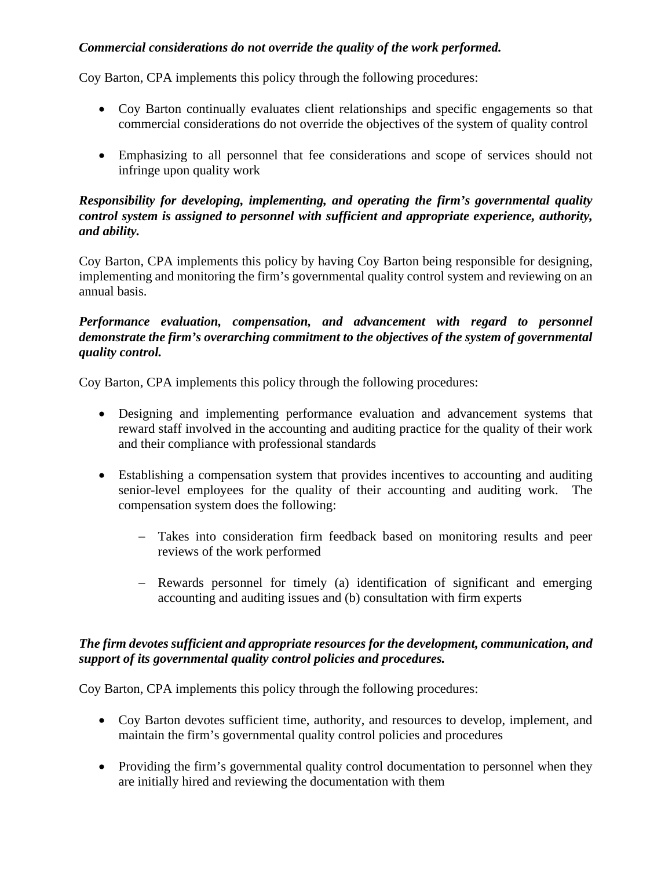# *Commercial considerations do not override the quality of the work performed.*

Coy Barton, CPA implements this policy through the following procedures:

- Coy Barton continually evaluates client relationships and specific engagements so that commercial considerations do not override the objectives of the system of quality control
- Emphasizing to all personnel that fee considerations and scope of services should not infringe upon quality work

#### *Responsibility for developing, implementing, and operating the firm's governmental quality control system is assigned to personnel with sufficient and appropriate experience, authority, and ability.*

Coy Barton, CPA implements this policy by having Coy Barton being responsible for designing, implementing and monitoring the firm's governmental quality control system and reviewing on an annual basis.

## *Performance evaluation, compensation, and advancement with regard to personnel demonstrate the firm's overarching commitment to the objectives of the system of governmental quality control.*

Coy Barton, CPA implements this policy through the following procedures:

- Designing and implementing performance evaluation and advancement systems that reward staff involved in the accounting and auditing practice for the quality of their work and their compliance with professional standards
- Establishing a compensation system that provides incentives to accounting and auditing senior-level employees for the quality of their accounting and auditing work. The compensation system does the following:
	- − Takes into consideration firm feedback based on monitoring results and peer reviews of the work performed
	- − Rewards personnel for timely (a) identification of significant and emerging accounting and auditing issues and (b) consultation with firm experts

# *The firm devotes sufficient and appropriate resources for the development, communication, and support of its governmental quality control policies and procedures.*

- Coy Barton devotes sufficient time, authority, and resources to develop, implement, and maintain the firm's governmental quality control policies and procedures
- Providing the firm's governmental quality control documentation to personnel when they are initially hired and reviewing the documentation with them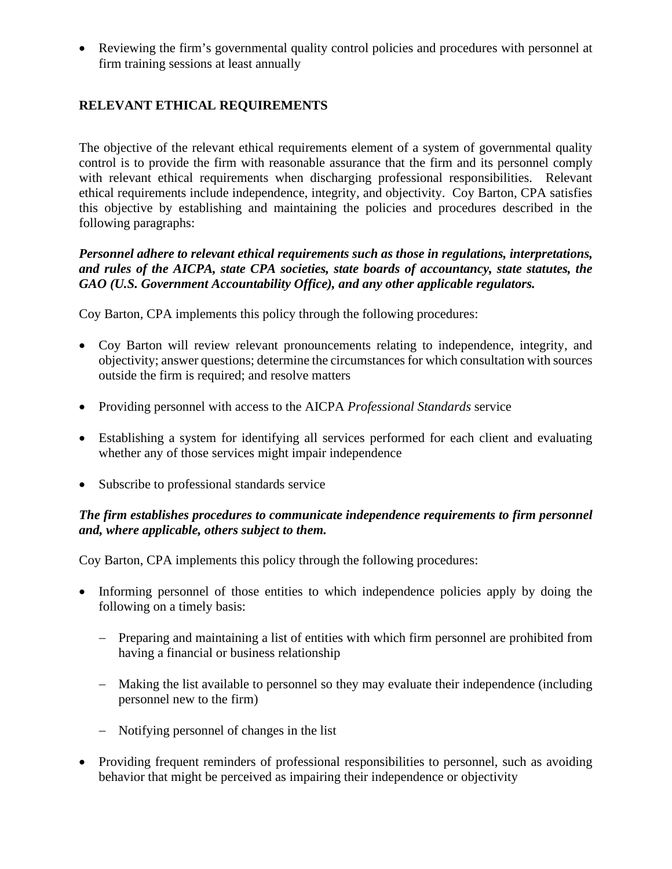• Reviewing the firm's governmental quality control policies and procedures with personnel at firm training sessions at least annually

# **RELEVANT ETHICAL REQUIREMENTS**

The objective of the relevant ethical requirements element of a system of governmental quality control is to provide the firm with reasonable assurance that the firm and its personnel comply with relevant ethical requirements when discharging professional responsibilities. Relevant ethical requirements include independence, integrity, and objectivity. Coy Barton, CPA satisfies this objective by establishing and maintaining the policies and procedures described in the following paragraphs:

#### *Personnel adhere to relevant ethical requirements such as those in regulations, interpretations, and rules of the AICPA, state CPA societies, state boards of accountancy, state statutes, the GAO (U.S. Government Accountability Office), and any other applicable regulators.*

Coy Barton, CPA implements this policy through the following procedures:

- Coy Barton will review relevant pronouncements relating to independence, integrity, and objectivity; answer questions; determine the circumstances for which consultation with sources outside the firm is required; and resolve matters
- Providing personnel with access to the AICPA *Professional Standards* service
- Establishing a system for identifying all services performed for each client and evaluating whether any of those services might impair independence
- Subscribe to professional standards service

## *The firm establishes procedures to communicate independence requirements to firm personnel and, where applicable, others subject to them.*

- Informing personnel of those entities to which independence policies apply by doing the following on a timely basis:
	- − Preparing and maintaining a list of entities with which firm personnel are prohibited from having a financial or business relationship
	- − Making the list available to personnel so they may evaluate their independence (including personnel new to the firm)
	- − Notifying personnel of changes in the list
- Providing frequent reminders of professional responsibilities to personnel, such as avoiding behavior that might be perceived as impairing their independence or objectivity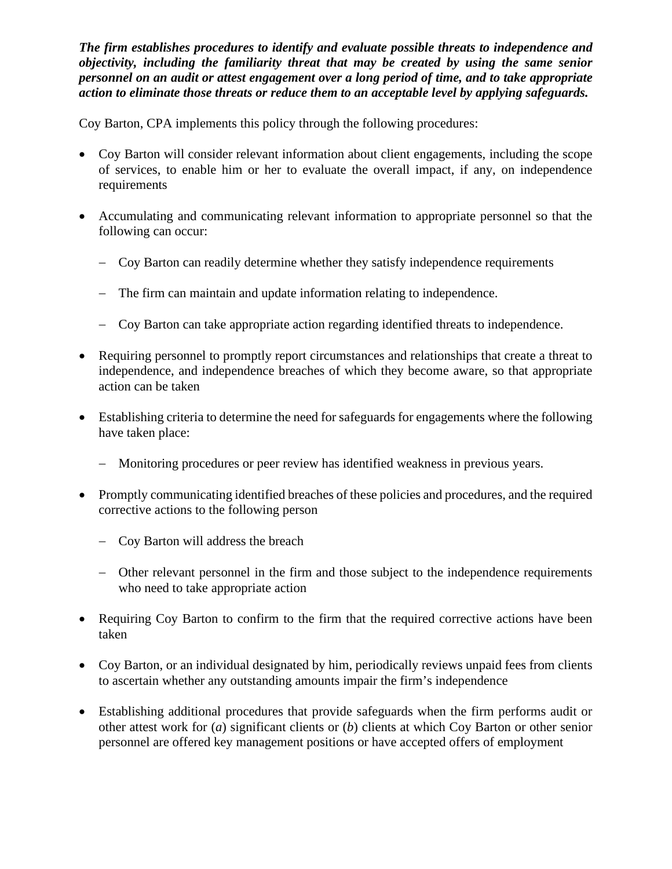*The firm establishes procedures to identify and evaluate possible threats to independence and objectivity, including the familiarity threat that may be created by using the same senior personnel on an audit or attest engagement over a long period of time, and to take appropriate action to eliminate those threats or reduce them to an acceptable level by applying safeguards.*

- Coy Barton will consider relevant information about client engagements, including the scope of services, to enable him or her to evaluate the overall impact, if any, on independence requirements
- Accumulating and communicating relevant information to appropriate personnel so that the following can occur:
	- − Coy Barton can readily determine whether they satisfy independence requirements
	- − The firm can maintain and update information relating to independence.
	- − Coy Barton can take appropriate action regarding identified threats to independence.
- Requiring personnel to promptly report circumstances and relationships that create a threat to independence, and independence breaches of which they become aware, so that appropriate action can be taken
- Establishing criteria to determine the need for safeguards for engagements where the following have taken place:
	- − Monitoring procedures or peer review has identified weakness in previous years.
- Promptly communicating identified breaches of these policies and procedures, and the required corrective actions to the following person
	- − Coy Barton will address the breach
	- − Other relevant personnel in the firm and those subject to the independence requirements who need to take appropriate action
- Requiring Coy Barton to confirm to the firm that the required corrective actions have been taken
- Coy Barton, or an individual designated by him, periodically reviews unpaid fees from clients to ascertain whether any outstanding amounts impair the firm's independence
- Establishing additional procedures that provide safeguards when the firm performs audit or other attest work for (*a*) significant clients or (*b*) clients at which Coy Barton or other senior personnel are offered key management positions or have accepted offers of employment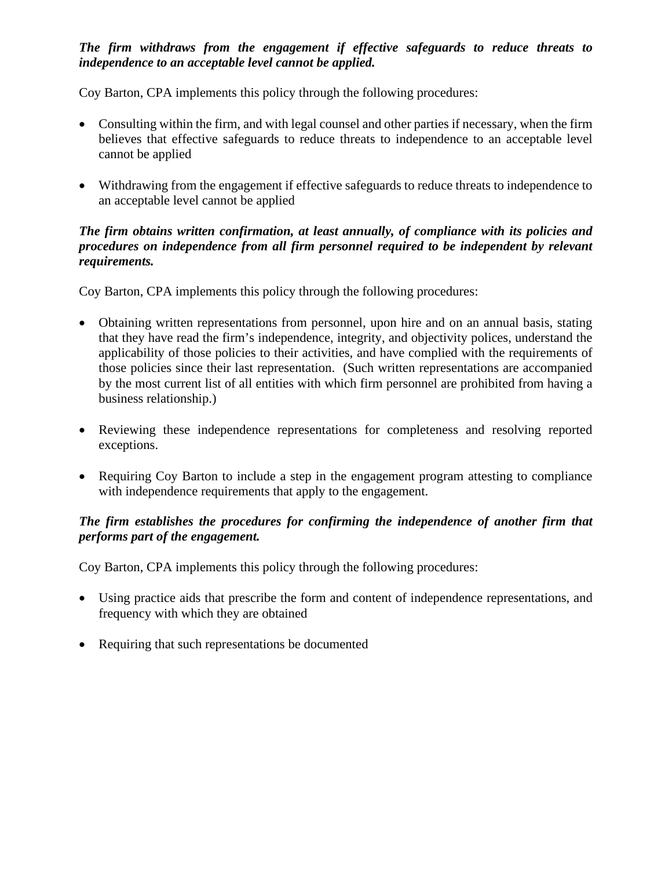## *The firm withdraws from the engagement if effective safeguards to reduce threats to independence to an acceptable level cannot be applied.*

Coy Barton, CPA implements this policy through the following procedures:

- Consulting within the firm, and with legal counsel and other parties if necessary, when the firm believes that effective safeguards to reduce threats to independence to an acceptable level cannot be applied
- Withdrawing from the engagement if effective safeguards to reduce threats to independence to an acceptable level cannot be applied

#### *The firm obtains written confirmation, at least annually, of compliance with its policies and procedures on independence from all firm personnel required to be independent by relevant requirements.*

Coy Barton, CPA implements this policy through the following procedures:

- Obtaining written representations from personnel, upon hire and on an annual basis, stating that they have read the firm's independence, integrity, and objectivity polices, understand the applicability of those policies to their activities, and have complied with the requirements of those policies since their last representation. (Such written representations are accompanied by the most current list of all entities with which firm personnel are prohibited from having a business relationship.)
- Reviewing these independence representations for completeness and resolving reported exceptions.
- Requiring Coy Barton to include a step in the engagement program attesting to compliance with independence requirements that apply to the engagement.

# *The firm establishes the procedures for confirming the independence of another firm that performs part of the engagement.*

- Using practice aids that prescribe the form and content of independence representations, and frequency with which they are obtained
- Requiring that such representations be documented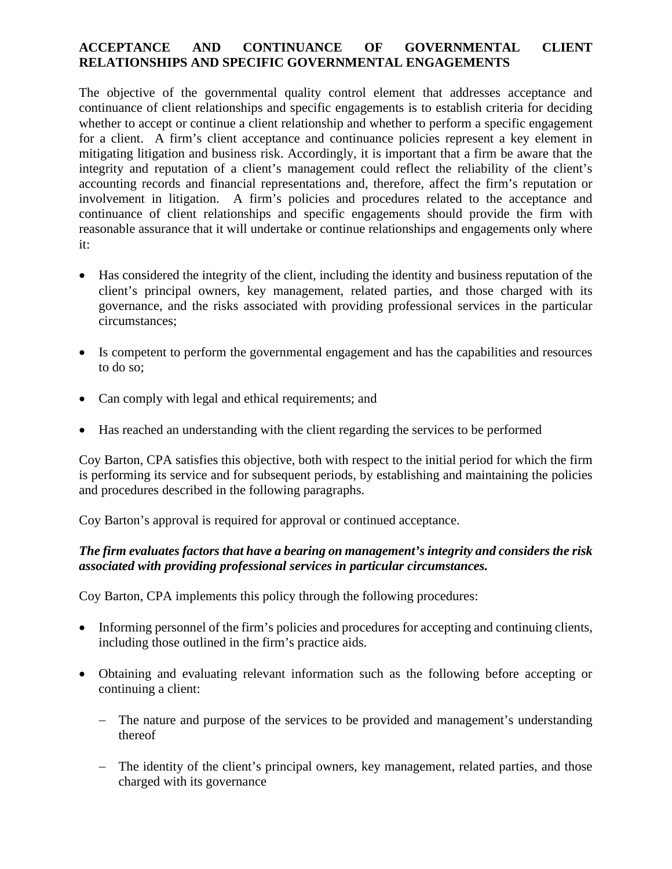## **ACCEPTANCE AND CONTINUANCE OF GOVERNMENTAL CLIENT RELATIONSHIPS AND SPECIFIC GOVERNMENTAL ENGAGEMENTS**

The objective of the governmental quality control element that addresses acceptance and continuance of client relationships and specific engagements is to establish criteria for deciding whether to accept or continue a client relationship and whether to perform a specific engagement for a client. A firm's client acceptance and continuance policies represent a key element in mitigating litigation and business risk. Accordingly, it is important that a firm be aware that the integrity and reputation of a client's management could reflect the reliability of the client's accounting records and financial representations and, therefore, affect the firm's reputation or involvement in litigation. A firm's policies and procedures related to the acceptance and continuance of client relationships and specific engagements should provide the firm with reasonable assurance that it will undertake or continue relationships and engagements only where it:

- Has considered the integrity of the client, including the identity and business reputation of the client's principal owners, key management, related parties, and those charged with its governance, and the risks associated with providing professional services in the particular circumstances;
- Is competent to perform the governmental engagement and has the capabilities and resources to do so;
- Can comply with legal and ethical requirements; and
- Has reached an understanding with the client regarding the services to be performed

Coy Barton, CPA satisfies this objective, both with respect to the initial period for which the firm is performing its service and for subsequent periods, by establishing and maintaining the policies and procedures described in the following paragraphs.

Coy Barton's approval is required for approval or continued acceptance.

## *The firm evaluates factors that have a bearing on management's integrity and considers the risk associated with providing professional services in particular circumstances.*

- Informing personnel of the firm's policies and procedures for accepting and continuing clients, including those outlined in the firm's practice aids.
- Obtaining and evaluating relevant information such as the following before accepting or continuing a client:
	- − The nature and purpose of the services to be provided and management's understanding thereof
	- − The identity of the client's principal owners, key management, related parties, and those charged with its governance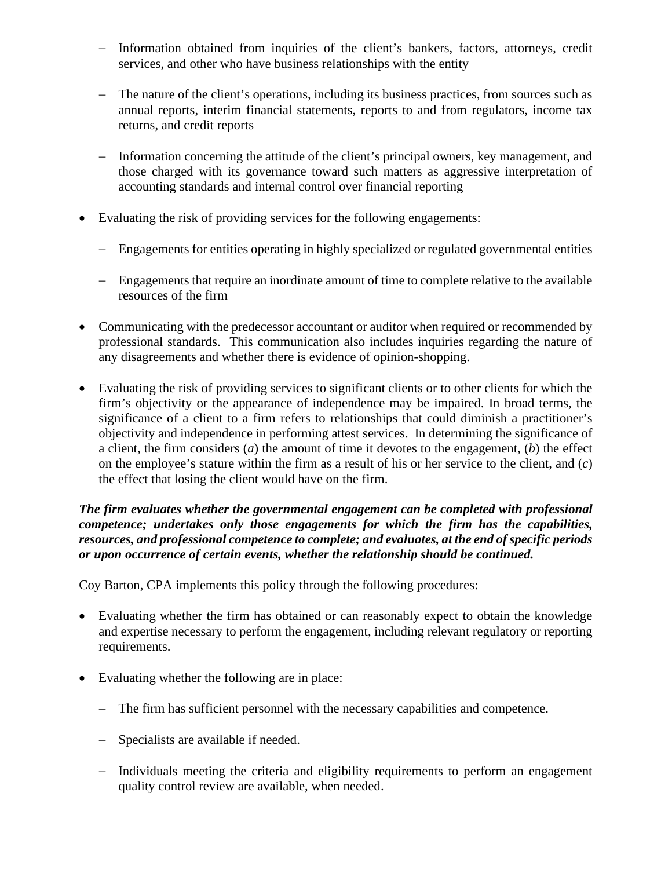- − Information obtained from inquiries of the client's bankers, factors, attorneys, credit services, and other who have business relationships with the entity
- − The nature of the client's operations, including its business practices, from sources such as annual reports, interim financial statements, reports to and from regulators, income tax returns, and credit reports
- − Information concerning the attitude of the client's principal owners, key management, and those charged with its governance toward such matters as aggressive interpretation of accounting standards and internal control over financial reporting
- Evaluating the risk of providing services for the following engagements:
	- − Engagements for entities operating in highly specialized or regulated governmental entities
	- − Engagements that require an inordinate amount of time to complete relative to the available resources of the firm
- Communicating with the predecessor accountant or auditor when required or recommended by professional standards. This communication also includes inquiries regarding the nature of any disagreements and whether there is evidence of opinion-shopping.
- Evaluating the risk of providing services to significant clients or to other clients for which the firm's objectivity or the appearance of independence may be impaired. In broad terms, the significance of a client to a firm refers to relationships that could diminish a practitioner's objectivity and independence in performing attest services. In determining the significance of a client, the firm considers (*a*) the amount of time it devotes to the engagement, (*b*) the effect on the employee's stature within the firm as a result of his or her service to the client, and (*c*) the effect that losing the client would have on the firm.

#### *The firm evaluates whether the governmental engagement can be completed with professional competence; undertakes only those engagements for which the firm has the capabilities, resources, and professional competence to complete; and evaluates, at the end of specific periods or upon occurrence of certain events, whether the relationship should be continued.*

- Evaluating whether the firm has obtained or can reasonably expect to obtain the knowledge and expertise necessary to perform the engagement, including relevant regulatory or reporting requirements.
- Evaluating whether the following are in place:
	- − The firm has sufficient personnel with the necessary capabilities and competence.
	- − Specialists are available if needed.
	- − Individuals meeting the criteria and eligibility requirements to perform an engagement quality control review are available, when needed.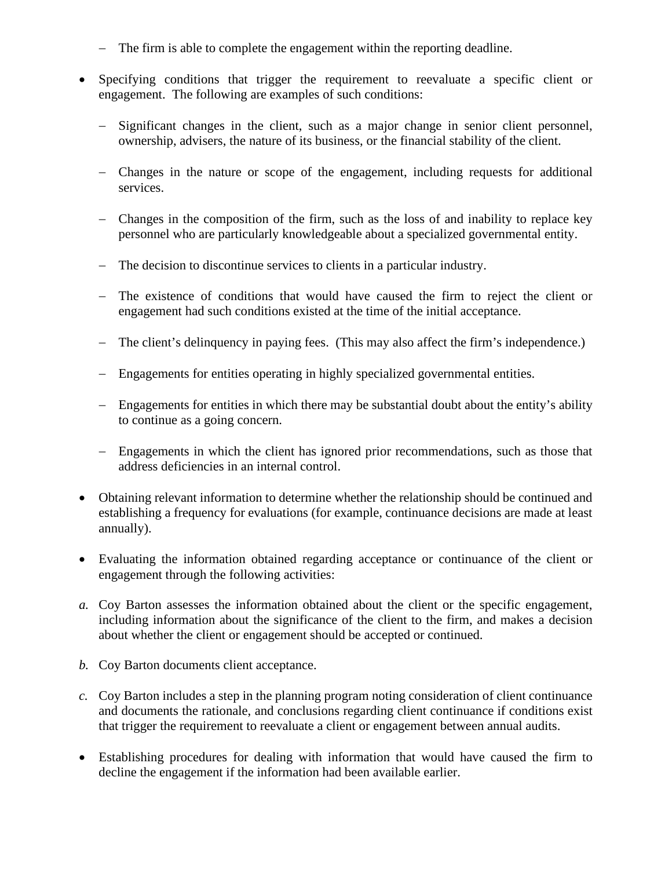- − The firm is able to complete the engagement within the reporting deadline.
- Specifying conditions that trigger the requirement to reevaluate a specific client or engagement. The following are examples of such conditions:
	- − Significant changes in the client, such as a major change in senior client personnel, ownership, advisers, the nature of its business, or the financial stability of the client.
	- − Changes in the nature or scope of the engagement, including requests for additional services.
	- − Changes in the composition of the firm, such as the loss of and inability to replace key personnel who are particularly knowledgeable about a specialized governmental entity.
	- − The decision to discontinue services to clients in a particular industry.
	- − The existence of conditions that would have caused the firm to reject the client or engagement had such conditions existed at the time of the initial acceptance.
	- − The client's delinquency in paying fees. (This may also affect the firm's independence.)
	- − Engagements for entities operating in highly specialized governmental entities.
	- − Engagements for entities in which there may be substantial doubt about the entity's ability to continue as a going concern.
	- − Engagements in which the client has ignored prior recommendations, such as those that address deficiencies in an internal control.
- Obtaining relevant information to determine whether the relationship should be continued and establishing a frequency for evaluations (for example, continuance decisions are made at least annually).
- Evaluating the information obtained regarding acceptance or continuance of the client or engagement through the following activities:
- *a.* Coy Barton assesses the information obtained about the client or the specific engagement, including information about the significance of the client to the firm, and makes a decision about whether the client or engagement should be accepted or continued.
- *b.* Coy Barton documents client acceptance.
- *c.* Coy Barton includes a step in the planning program noting consideration of client continuance and documents the rationale, and conclusions regarding client continuance if conditions exist that trigger the requirement to reevaluate a client or engagement between annual audits.
- Establishing procedures for dealing with information that would have caused the firm to decline the engagement if the information had been available earlier.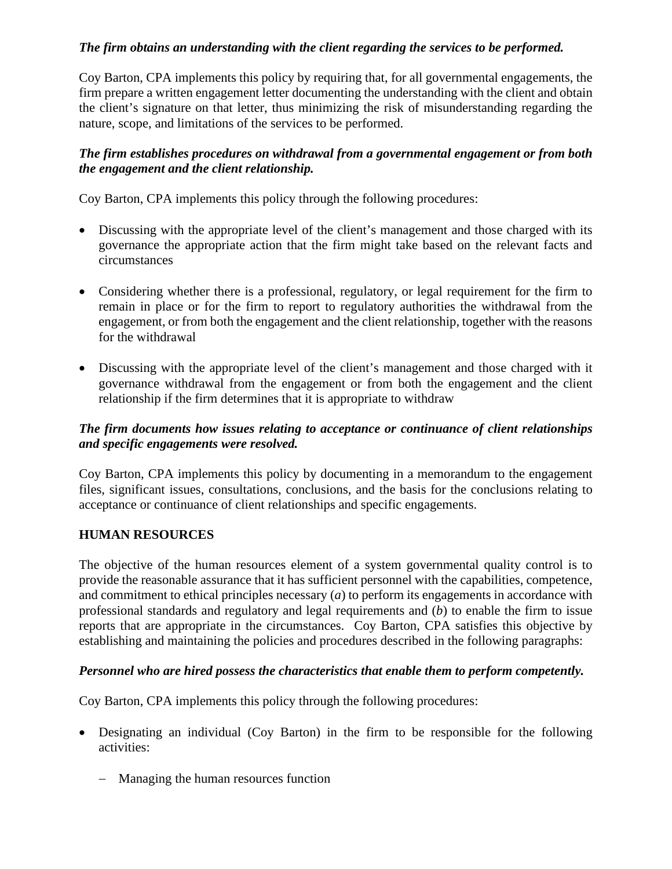## *The firm obtains an understanding with the client regarding the services to be performed.*

Coy Barton, CPA implements this policy by requiring that, for all governmental engagements, the firm prepare a written engagement letter documenting the understanding with the client and obtain the client's signature on that letter, thus minimizing the risk of misunderstanding regarding the nature, scope, and limitations of the services to be performed.

## *The firm establishes procedures on withdrawal from a governmental engagement or from both the engagement and the client relationship.*

Coy Barton, CPA implements this policy through the following procedures:

- Discussing with the appropriate level of the client's management and those charged with its governance the appropriate action that the firm might take based on the relevant facts and circumstances
- Considering whether there is a professional, regulatory, or legal requirement for the firm to remain in place or for the firm to report to regulatory authorities the withdrawal from the engagement, or from both the engagement and the client relationship, together with the reasons for the withdrawal
- Discussing with the appropriate level of the client's management and those charged with it governance withdrawal from the engagement or from both the engagement and the client relationship if the firm determines that it is appropriate to withdraw

## *The firm documents how issues relating to acceptance or continuance of client relationships and specific engagements were resolved.*

Coy Barton, CPA implements this policy by documenting in a memorandum to the engagement files, significant issues, consultations, conclusions, and the basis for the conclusions relating to acceptance or continuance of client relationships and specific engagements.

## **HUMAN RESOURCES**

The objective of the human resources element of a system governmental quality control is to provide the reasonable assurance that it has sufficient personnel with the capabilities, competence, and commitment to ethical principles necessary (*a*) to perform its engagements in accordance with professional standards and regulatory and legal requirements and (*b*) to enable the firm to issue reports that are appropriate in the circumstances. Coy Barton, CPA satisfies this objective by establishing and maintaining the policies and procedures described in the following paragraphs:

#### *Personnel who are hired possess the characteristics that enable them to perform competently.*

- Designating an individual (Coy Barton) in the firm to be responsible for the following activities:
	- − Managing the human resources function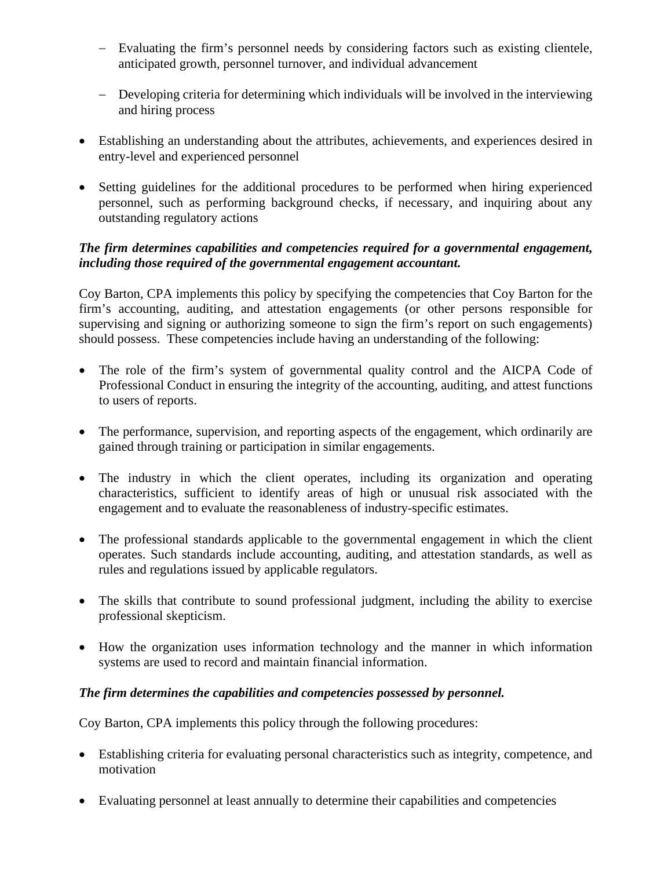- − Evaluating the firm's personnel needs by considering factors such as existing clientele, anticipated growth, personnel turnover, and individual advancement
- − Developing criteria for determining which individuals will be involved in the interviewing and hiring process
- Establishing an understanding about the attributes, achievements, and experiences desired in entry-level and experienced personnel
- Setting guidelines for the additional procedures to be performed when hiring experienced personnel, such as performing background checks, if necessary, and inquiring about any outstanding regulatory actions

#### *The firm determines capabilities and competencies required for a governmental engagement, including those required of the governmental engagement accountant.*

Coy Barton, CPA implements this policy by specifying the competencies that Coy Barton for the firm's accounting, auditing, and attestation engagements (or other persons responsible for supervising and signing or authorizing someone to sign the firm's report on such engagements) should possess. These competencies include having an understanding of the following:

- The role of the firm's system of governmental quality control and the AICPA Code of Professional Conduct in ensuring the integrity of the accounting, auditing, and attest functions to users of reports.
- The performance, supervision, and reporting aspects of the engagement, which ordinarily are gained through training or participation in similar engagements.
- The industry in which the client operates, including its organization and operating characteristics, sufficient to identify areas of high or unusual risk associated with the engagement and to evaluate the reasonableness of industry-specific estimates.
- The professional standards applicable to the governmental engagement in which the client operates. Such standards include accounting, auditing, and attestation standards, as well as rules and regulations issued by applicable regulators.
- The skills that contribute to sound professional judgment, including the ability to exercise professional skepticism.
- How the organization uses information technology and the manner in which information systems are used to record and maintain financial information.

## *The firm determines the capabilities and competencies possessed by personnel.*

- Establishing criteria for evaluating personal characteristics such as integrity, competence, and motivation
- Evaluating personnel at least annually to determine their capabilities and competencies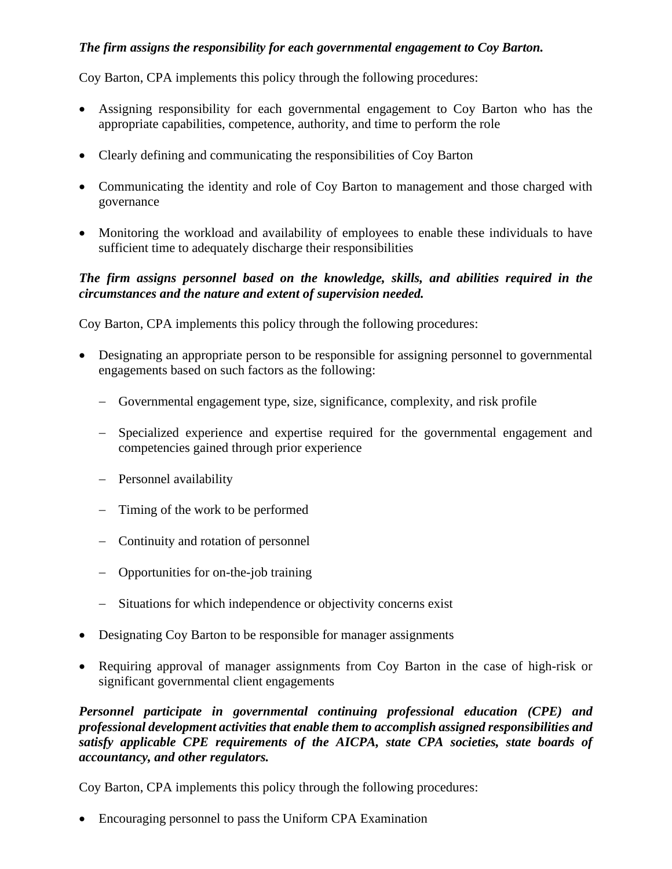## *The firm assigns the responsibility for each governmental engagement to Coy Barton.*

Coy Barton, CPA implements this policy through the following procedures:

- Assigning responsibility for each governmental engagement to Coy Barton who has the appropriate capabilities, competence, authority, and time to perform the role
- Clearly defining and communicating the responsibilities of Coy Barton
- Communicating the identity and role of Coy Barton to management and those charged with governance
- Monitoring the workload and availability of employees to enable these individuals to have sufficient time to adequately discharge their responsibilities

#### *The firm assigns personnel based on the knowledge, skills, and abilities required in the circumstances and the nature and extent of supervision needed.*

Coy Barton, CPA implements this policy through the following procedures:

- Designating an appropriate person to be responsible for assigning personnel to governmental engagements based on such factors as the following:
	- − Governmental engagement type, size, significance, complexity, and risk profile
	- − Specialized experience and expertise required for the governmental engagement and competencies gained through prior experience
	- − Personnel availability
	- − Timing of the work to be performed
	- − Continuity and rotation of personnel
	- − Opportunities for on-the-job training
	- − Situations for which independence or objectivity concerns exist
- Designating Coy Barton to be responsible for manager assignments
- Requiring approval of manager assignments from Coy Barton in the case of high-risk or significant governmental client engagements

*Personnel participate in governmental continuing professional education (CPE) and professional development activities that enable them to accomplish assigned responsibilities and satisfy applicable CPE requirements of the AICPA, state CPA societies, state boards of accountancy, and other regulators.*

Coy Barton, CPA implements this policy through the following procedures:

• Encouraging personnel to pass the Uniform CPA Examination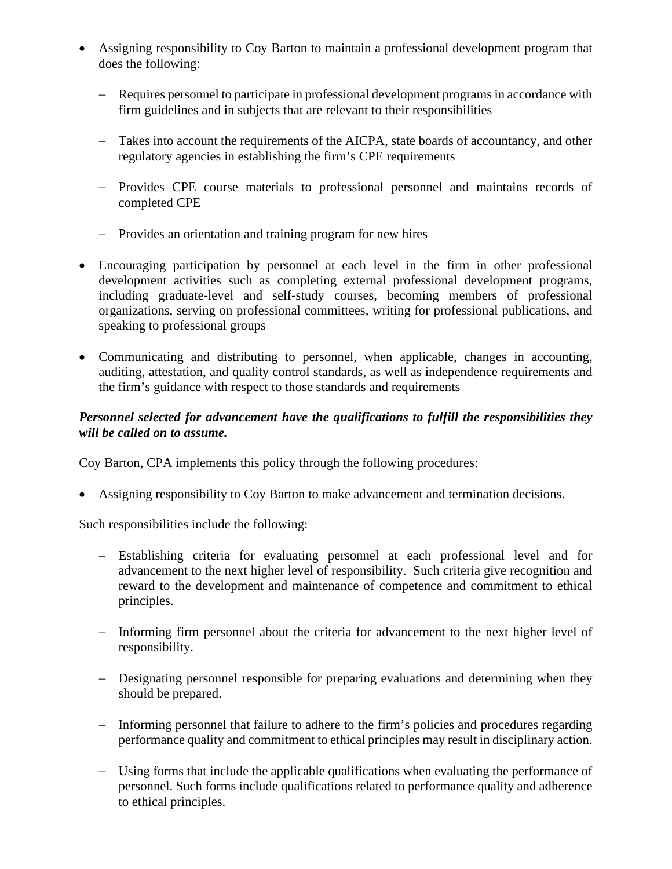- Assigning responsibility to Coy Barton to maintain a professional development program that does the following:
	- − Requires personnel to participate in professional development programs in accordance with firm guidelines and in subjects that are relevant to their responsibilities
	- − Takes into account the requirements of the AICPA, state boards of accountancy, and other regulatory agencies in establishing the firm's CPE requirements
	- − Provides CPE course materials to professional personnel and maintains records of completed CPE
	- − Provides an orientation and training program for new hires
- Encouraging participation by personnel at each level in the firm in other professional development activities such as completing external professional development programs, including graduate-level and self-study courses, becoming members of professional organizations, serving on professional committees, writing for professional publications, and speaking to professional groups
- Communicating and distributing to personnel, when applicable, changes in accounting, auditing, attestation, and quality control standards, as well as independence requirements and the firm's guidance with respect to those standards and requirements

## *Personnel selected for advancement have the qualifications to fulfill the responsibilities they will be called on to assume.*

Coy Barton, CPA implements this policy through the following procedures:

• Assigning responsibility to Coy Barton to make advancement and termination decisions.

Such responsibilities include the following:

- − Establishing criteria for evaluating personnel at each professional level and for advancement to the next higher level of responsibility. Such criteria give recognition and reward to the development and maintenance of competence and commitment to ethical principles.
- − Informing firm personnel about the criteria for advancement to the next higher level of responsibility.
- − Designating personnel responsible for preparing evaluations and determining when they should be prepared.
- − Informing personnel that failure to adhere to the firm's policies and procedures regarding performance quality and commitment to ethical principles may result in disciplinary action.
- − Using forms that include the applicable qualifications when evaluating the performance of personnel. Such forms include qualifications related to performance quality and adherence to ethical principles.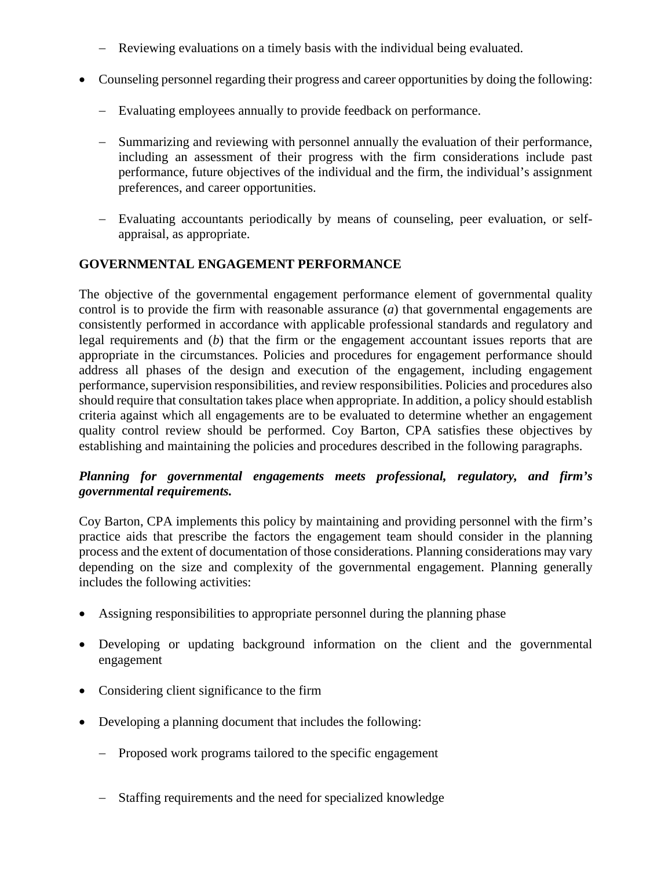- − Reviewing evaluations on a timely basis with the individual being evaluated.
- Counseling personnel regarding their progress and career opportunities by doing the following:
	- − Evaluating employees annually to provide feedback on performance.
	- − Summarizing and reviewing with personnel annually the evaluation of their performance, including an assessment of their progress with the firm considerations include past performance, future objectives of the individual and the firm, the individual's assignment preferences, and career opportunities.
	- − Evaluating accountants periodically by means of counseling, peer evaluation, or selfappraisal, as appropriate.

## **GOVERNMENTAL ENGAGEMENT PERFORMANCE**

The objective of the governmental engagement performance element of governmental quality control is to provide the firm with reasonable assurance (*a*) that governmental engagements are consistently performed in accordance with applicable professional standards and regulatory and legal requirements and (*b*) that the firm or the engagement accountant issues reports that are appropriate in the circumstances. Policies and procedures for engagement performance should address all phases of the design and execution of the engagement, including engagement performance, supervision responsibilities, and review responsibilities. Policies and procedures also should require that consultation takes place when appropriate. In addition, a policy should establish criteria against which all engagements are to be evaluated to determine whether an engagement quality control review should be performed. Coy Barton, CPA satisfies these objectives by establishing and maintaining the policies and procedures described in the following paragraphs.

## *Planning for governmental engagements meets professional, regulatory, and firm's governmental requirements.*

Coy Barton, CPA implements this policy by maintaining and providing personnel with the firm's practice aids that prescribe the factors the engagement team should consider in the planning process and the extent of documentation of those considerations. Planning considerations may vary depending on the size and complexity of the governmental engagement. Planning generally includes the following activities:

- Assigning responsibilities to appropriate personnel during the planning phase
- Developing or updating background information on the client and the governmental engagement
- Considering client significance to the firm
- Developing a planning document that includes the following:
	- − Proposed work programs tailored to the specific engagement
	- − Staffing requirements and the need for specialized knowledge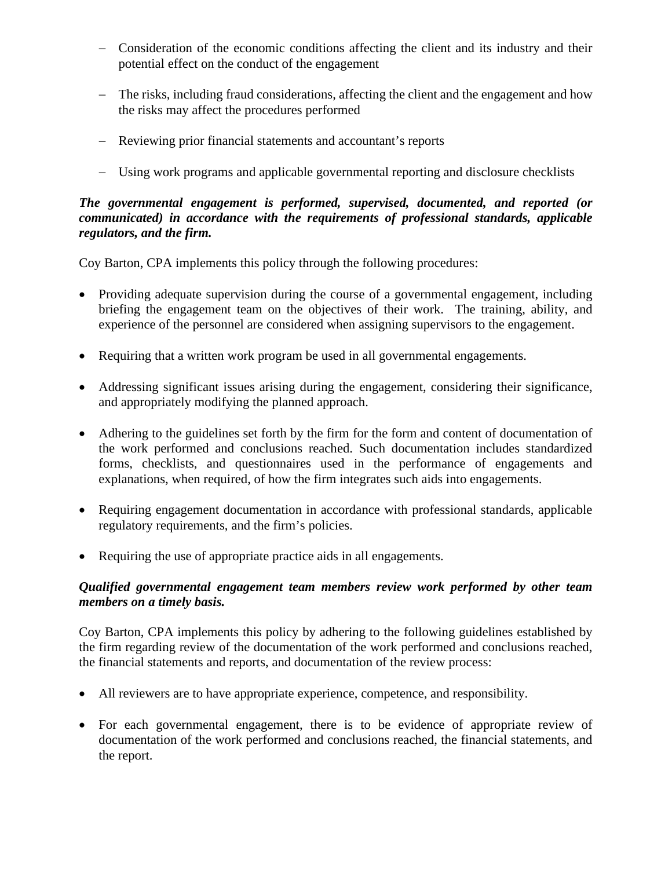- − Consideration of the economic conditions affecting the client and its industry and their potential effect on the conduct of the engagement
- − The risks, including fraud considerations, affecting the client and the engagement and how the risks may affect the procedures performed
- − Reviewing prior financial statements and accountant's reports
- − Using work programs and applicable governmental reporting and disclosure checklists

## *The governmental engagement is performed, supervised, documented, and reported (or communicated) in accordance with the requirements of professional standards, applicable regulators, and the firm.*

Coy Barton, CPA implements this policy through the following procedures:

- Providing adequate supervision during the course of a governmental engagement, including briefing the engagement team on the objectives of their work. The training, ability, and experience of the personnel are considered when assigning supervisors to the engagement.
- Requiring that a written work program be used in all governmental engagements.
- Addressing significant issues arising during the engagement, considering their significance, and appropriately modifying the planned approach.
- Adhering to the guidelines set forth by the firm for the form and content of documentation of the work performed and conclusions reached. Such documentation includes standardized forms, checklists, and questionnaires used in the performance of engagements and explanations, when required, of how the firm integrates such aids into engagements.
- Requiring engagement documentation in accordance with professional standards, applicable regulatory requirements, and the firm's policies.
- Requiring the use of appropriate practice aids in all engagements.

# *Qualified governmental engagement team members review work performed by other team members on a timely basis.*

Coy Barton, CPA implements this policy by adhering to the following guidelines established by the firm regarding review of the documentation of the work performed and conclusions reached, the financial statements and reports, and documentation of the review process:

- All reviewers are to have appropriate experience, competence, and responsibility.
- For each governmental engagement, there is to be evidence of appropriate review of documentation of the work performed and conclusions reached, the financial statements, and the report.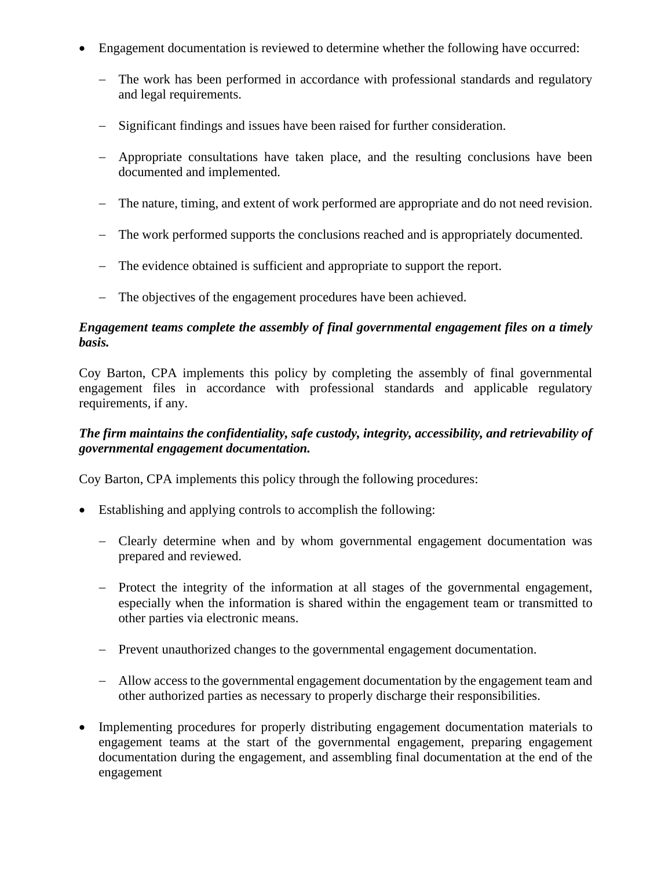- Engagement documentation is reviewed to determine whether the following have occurred:
	- − The work has been performed in accordance with professional standards and regulatory and legal requirements.
	- − Significant findings and issues have been raised for further consideration.
	- − Appropriate consultations have taken place, and the resulting conclusions have been documented and implemented.
	- − The nature, timing, and extent of work performed are appropriate and do not need revision.
	- − The work performed supports the conclusions reached and is appropriately documented.
	- − The evidence obtained is sufficient and appropriate to support the report.
	- − The objectives of the engagement procedures have been achieved.

## *Engagement teams complete the assembly of final governmental engagement files on a timely basis.*

Coy Barton, CPA implements this policy by completing the assembly of final governmental engagement files in accordance with professional standards and applicable regulatory requirements, if any.

## *The firm maintains the confidentiality, safe custody, integrity, accessibility, and retrievability of governmental engagement documentation.*

- Establishing and applying controls to accomplish the following:
	- − Clearly determine when and by whom governmental engagement documentation was prepared and reviewed.
	- − Protect the integrity of the information at all stages of the governmental engagement, especially when the information is shared within the engagement team or transmitted to other parties via electronic means.
	- − Prevent unauthorized changes to the governmental engagement documentation.
	- − Allow access to the governmental engagement documentation by the engagement team and other authorized parties as necessary to properly discharge their responsibilities.
- Implementing procedures for properly distributing engagement documentation materials to engagement teams at the start of the governmental engagement, preparing engagement documentation during the engagement, and assembling final documentation at the end of the engagement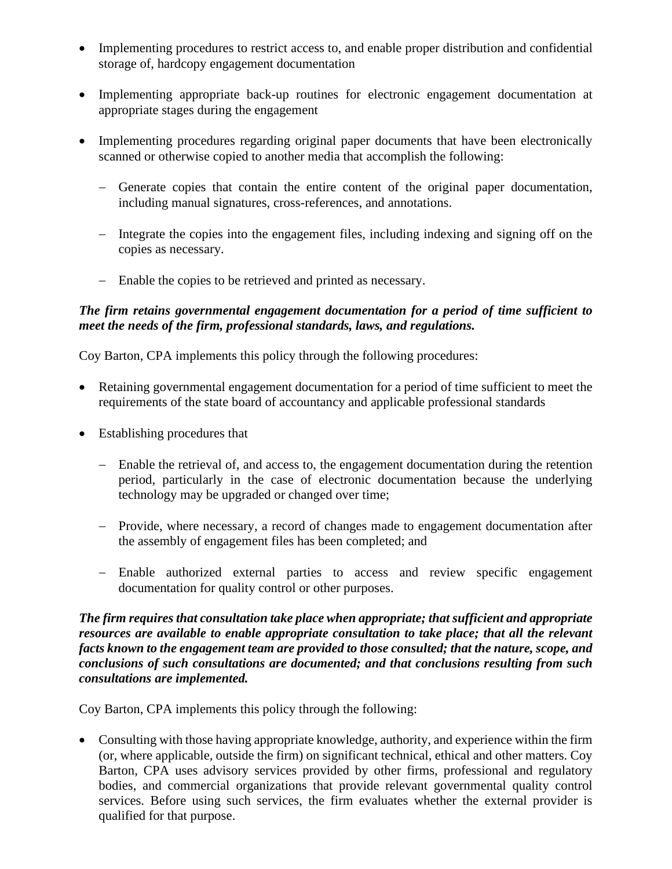- Implementing procedures to restrict access to, and enable proper distribution and confidential storage of, hardcopy engagement documentation
- Implementing appropriate back-up routines for electronic engagement documentation at appropriate stages during the engagement
- Implementing procedures regarding original paper documents that have been electronically scanned or otherwise copied to another media that accomplish the following:
	- − Generate copies that contain the entire content of the original paper documentation, including manual signatures, cross-references, and annotations.
	- − Integrate the copies into the engagement files, including indexing and signing off on the copies as necessary.
	- − Enable the copies to be retrieved and printed as necessary.

#### *The firm retains governmental engagement documentation for a period of time sufficient to meet the needs of the firm, professional standards, laws, and regulations.*

Coy Barton, CPA implements this policy through the following procedures:

- Retaining governmental engagement documentation for a period of time sufficient to meet the requirements of the state board of accountancy and applicable professional standards
- Establishing procedures that
	- − Enable the retrieval of, and access to, the engagement documentation during the retention period, particularly in the case of electronic documentation because the underlying technology may be upgraded or changed over time;
	- − Provide, where necessary, a record of changes made to engagement documentation after the assembly of engagement files has been completed; and
	- − Enable authorized external parties to access and review specific engagement documentation for quality control or other purposes.

*The firm requires that consultation take place when appropriate; that sufficient and appropriate resources are available to enable appropriate consultation to take place; that all the relevant facts known to the engagement team are provided to those consulted; that the nature, scope, and conclusions of such consultations are documented; and that conclusions resulting from such consultations are implemented.*

Coy Barton, CPA implements this policy through the following:

• Consulting with those having appropriate knowledge, authority, and experience within the firm (or, where applicable, outside the firm) on significant technical, ethical and other matters. Coy Barton, CPA uses advisory services provided by other firms, professional and regulatory bodies, and commercial organizations that provide relevant governmental quality control services. Before using such services, the firm evaluates whether the external provider is qualified for that purpose.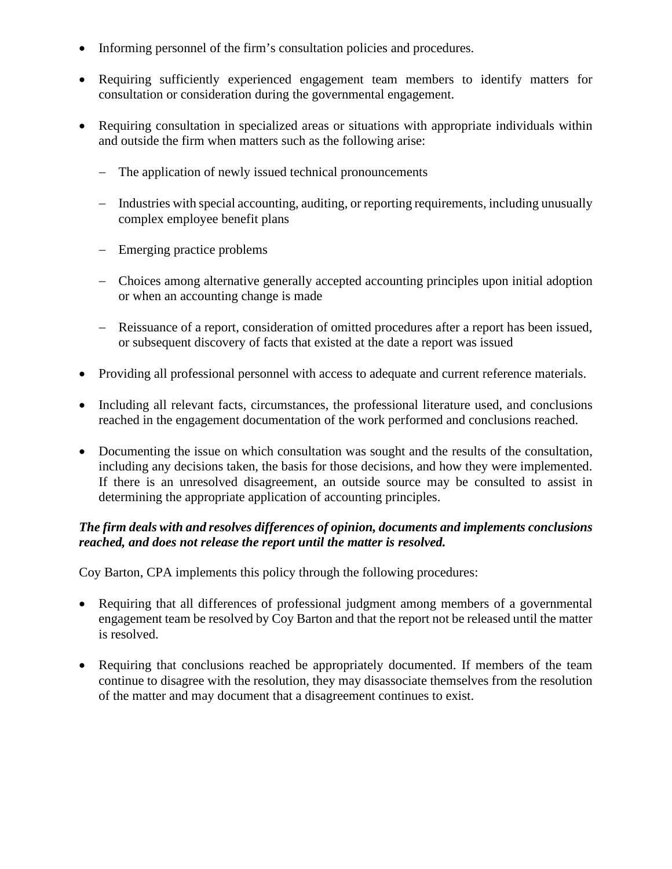- Informing personnel of the firm's consultation policies and procedures.
- Requiring sufficiently experienced engagement team members to identify matters for consultation or consideration during the governmental engagement.
- Requiring consultation in specialized areas or situations with appropriate individuals within and outside the firm when matters such as the following arise:
	- − The application of newly issued technical pronouncements
	- − Industries with special accounting, auditing, or reporting requirements, including unusually complex employee benefit plans
	- − Emerging practice problems
	- − Choices among alternative generally accepted accounting principles upon initial adoption or when an accounting change is made
	- − Reissuance of a report, consideration of omitted procedures after a report has been issued, or subsequent discovery of facts that existed at the date a report was issued
- Providing all professional personnel with access to adequate and current reference materials.
- Including all relevant facts, circumstances, the professional literature used, and conclusions reached in the engagement documentation of the work performed and conclusions reached.
- Documenting the issue on which consultation was sought and the results of the consultation, including any decisions taken, the basis for those decisions, and how they were implemented. If there is an unresolved disagreement, an outside source may be consulted to assist in determining the appropriate application of accounting principles.

## *The firm deals with and resolves differences of opinion, documents and implements conclusions reached, and does not release the report until the matter is resolved.*

- Requiring that all differences of professional judgment among members of a governmental engagement team be resolved by Coy Barton and that the report not be released until the matter is resolved.
- Requiring that conclusions reached be appropriately documented. If members of the team continue to disagree with the resolution, they may disassociate themselves from the resolution of the matter and may document that a disagreement continues to exist.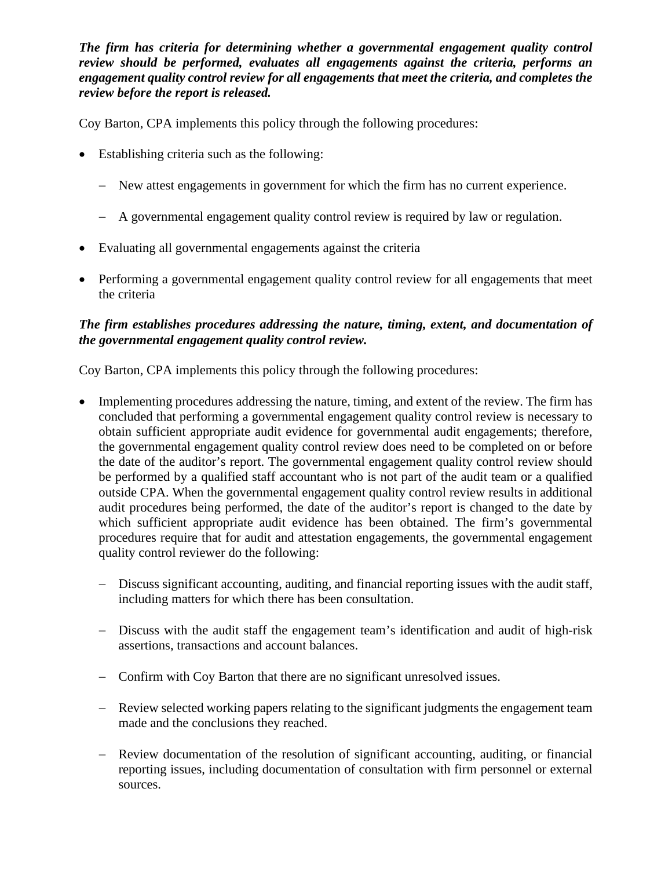*The firm has criteria for determining whether a governmental engagement quality control review should be performed, evaluates all engagements against the criteria, performs an engagement quality control review for all engagements that meet the criteria, and completes the review before the report is released.*

Coy Barton, CPA implements this policy through the following procedures:

- Establishing criteria such as the following:
	- − New attest engagements in government for which the firm has no current experience.
	- − A governmental engagement quality control review is required by law or regulation.
- Evaluating all governmental engagements against the criteria
- Performing a governmental engagement quality control review for all engagements that meet the criteria

## *The firm establishes procedures addressing the nature, timing, extent, and documentation of the governmental engagement quality control review.*

- Implementing procedures addressing the nature, timing, and extent of the review. The firm has concluded that performing a governmental engagement quality control review is necessary to obtain sufficient appropriate audit evidence for governmental audit engagements; therefore, the governmental engagement quality control review does need to be completed on or before the date of the auditor's report. The governmental engagement quality control review should be performed by a qualified staff accountant who is not part of the audit team or a qualified outside CPA. When the governmental engagement quality control review results in additional audit procedures being performed, the date of the auditor's report is changed to the date by which sufficient appropriate audit evidence has been obtained. The firm's governmental procedures require that for audit and attestation engagements, the governmental engagement quality control reviewer do the following:
	- − Discuss significant accounting, auditing, and financial reporting issues with the audit staff, including matters for which there has been consultation.
	- − Discuss with the audit staff the engagement team's identification and audit of high-risk assertions, transactions and account balances.
	- − Confirm with Coy Barton that there are no significant unresolved issues.
	- − Review selected working papers relating to the significant judgments the engagement team made and the conclusions they reached.
	- − Review documentation of the resolution of significant accounting, auditing, or financial reporting issues, including documentation of consultation with firm personnel or external sources.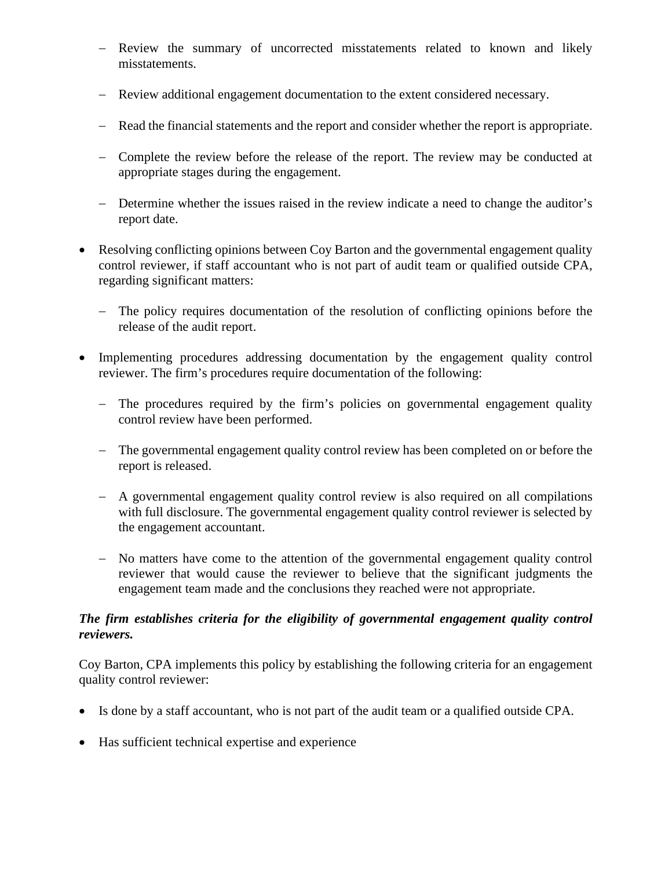- − Review the summary of uncorrected misstatements related to known and likely misstatements.
- − Review additional engagement documentation to the extent considered necessary.
- − Read the financial statements and the report and consider whether the report is appropriate.
- − Complete the review before the release of the report. The review may be conducted at appropriate stages during the engagement.
- − Determine whether the issues raised in the review indicate a need to change the auditor's report date.
- Resolving conflicting opinions between Coy Barton and the governmental engagement quality control reviewer, if staff accountant who is not part of audit team or qualified outside CPA, regarding significant matters:
	- − The policy requires documentation of the resolution of conflicting opinions before the release of the audit report.
- Implementing procedures addressing documentation by the engagement quality control reviewer. The firm's procedures require documentation of the following:
	- − The procedures required by the firm's policies on governmental engagement quality control review have been performed.
	- − The governmental engagement quality control review has been completed on or before the report is released.
	- − A governmental engagement quality control review is also required on all compilations with full disclosure. The governmental engagement quality control reviewer is selected by the engagement accountant.
	- − No matters have come to the attention of the governmental engagement quality control reviewer that would cause the reviewer to believe that the significant judgments the engagement team made and the conclusions they reached were not appropriate.

# *The firm establishes criteria for the eligibility of governmental engagement quality control reviewers.*

Coy Barton, CPA implements this policy by establishing the following criteria for an engagement quality control reviewer:

- Is done by a staff accountant, who is not part of the audit team or a qualified outside CPA.
- Has sufficient technical expertise and experience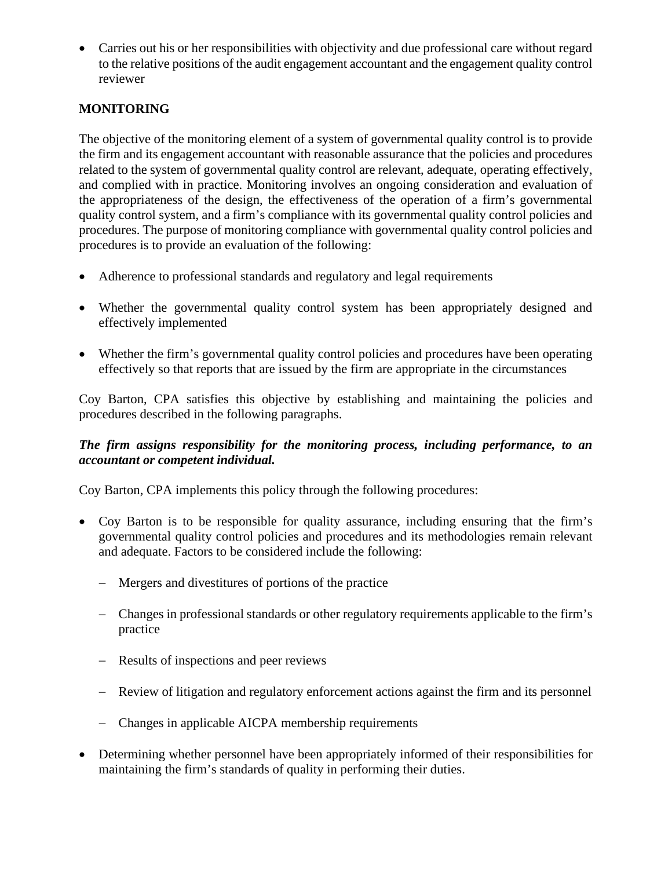• Carries out his or her responsibilities with objectivity and due professional care without regard to the relative positions of the audit engagement accountant and the engagement quality control reviewer

# **MONITORING**

The objective of the monitoring element of a system of governmental quality control is to provide the firm and its engagement accountant with reasonable assurance that the policies and procedures related to the system of governmental quality control are relevant, adequate, operating effectively, and complied with in practice. Monitoring involves an ongoing consideration and evaluation of the appropriateness of the design, the effectiveness of the operation of a firm's governmental quality control system, and a firm's compliance with its governmental quality control policies and procedures. The purpose of monitoring compliance with governmental quality control policies and procedures is to provide an evaluation of the following:

- Adherence to professional standards and regulatory and legal requirements
- Whether the governmental quality control system has been appropriately designed and effectively implemented
- Whether the firm's governmental quality control policies and procedures have been operating effectively so that reports that are issued by the firm are appropriate in the circumstances

Coy Barton, CPA satisfies this objective by establishing and maintaining the policies and procedures described in the following paragraphs.

## *The firm assigns responsibility for the monitoring process, including performance, to an accountant or competent individual.*

- Coy Barton is to be responsible for quality assurance, including ensuring that the firm's governmental quality control policies and procedures and its methodologies remain relevant and adequate. Factors to be considered include the following:
	- − Mergers and divestitures of portions of the practice
	- − Changes in professional standards or other regulatory requirements applicable to the firm's practice
	- − Results of inspections and peer reviews
	- − Review of litigation and regulatory enforcement actions against the firm and its personnel
	- − Changes in applicable AICPA membership requirements
- Determining whether personnel have been appropriately informed of their responsibilities for maintaining the firm's standards of quality in performing their duties.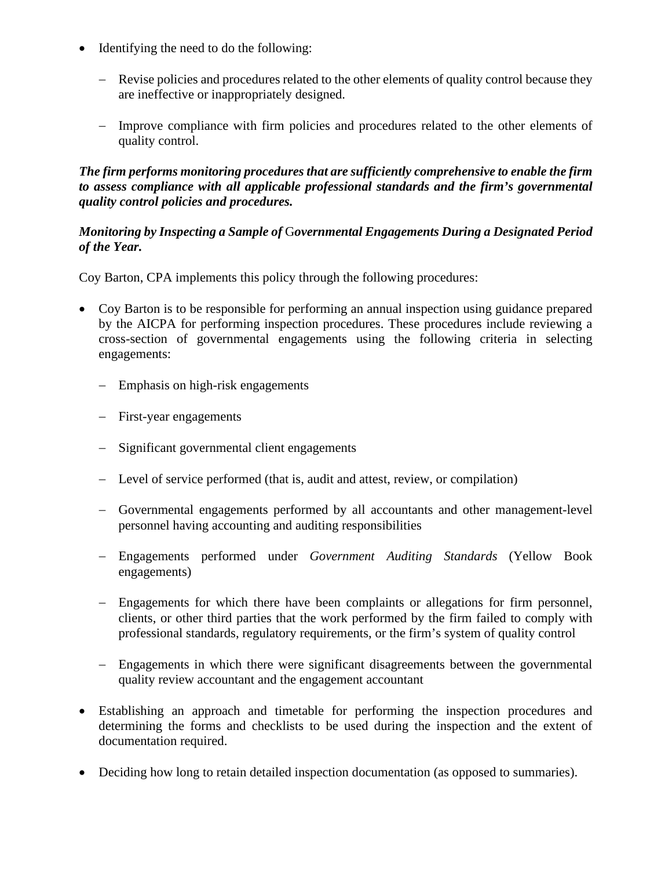- Identifying the need to do the following:
	- − Revise policies and procedures related to the other elements of quality control because they are ineffective or inappropriately designed.
	- − Improve compliance with firm policies and procedures related to the other elements of quality control.

#### *The firm performs monitoring procedures that are sufficiently comprehensive to enable the firm to assess compliance with all applicable professional standards and the firm's governmental quality control policies and procedures.*

#### *Monitoring by Inspecting a Sample of* G*overnmental Engagements During a Designated Period of the Year.*

- Coy Barton is to be responsible for performing an annual inspection using guidance prepared by the AICPA for performing inspection procedures. These procedures include reviewing a cross-section of governmental engagements using the following criteria in selecting engagements:
	- − Emphasis on high-risk engagements
	- − First-year engagements
	- − Significant governmental client engagements
	- − Level of service performed (that is, audit and attest, review, or compilation)
	- − Governmental engagements performed by all accountants and other management-level personnel having accounting and auditing responsibilities
	- − Engagements performed under *Government Auditing Standards* (Yellow Book engagements)
	- − Engagements for which there have been complaints or allegations for firm personnel, clients, or other third parties that the work performed by the firm failed to comply with professional standards, regulatory requirements, or the firm's system of quality control
	- − Engagements in which there were significant disagreements between the governmental quality review accountant and the engagement accountant
- Establishing an approach and timetable for performing the inspection procedures and determining the forms and checklists to be used during the inspection and the extent of documentation required.
- Deciding how long to retain detailed inspection documentation (as opposed to summaries).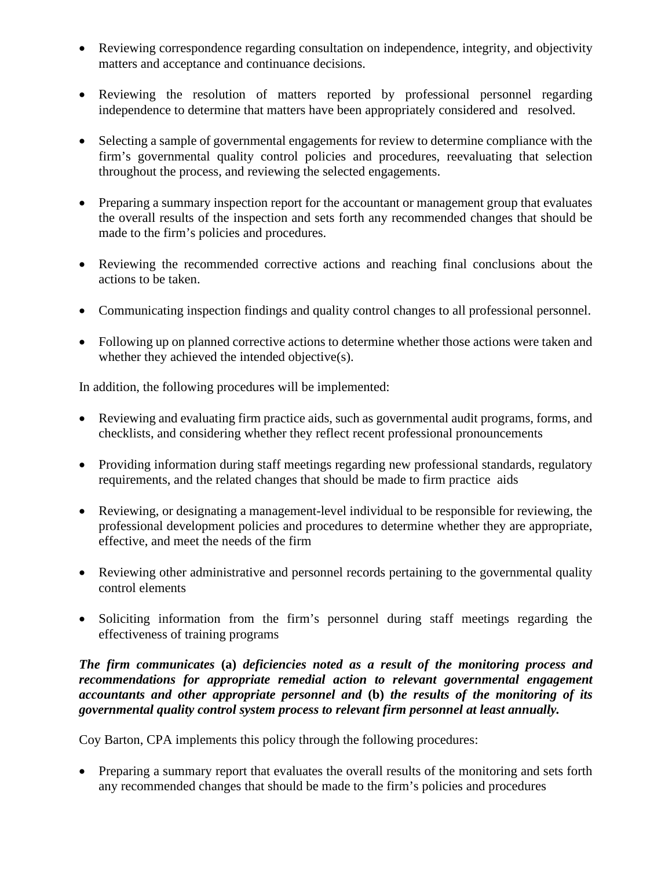- Reviewing correspondence regarding consultation on independence, integrity, and objectivity matters and acceptance and continuance decisions.
- Reviewing the resolution of matters reported by professional personnel regarding independence to determine that matters have been appropriately considered and resolved.
- Selecting a sample of governmental engagements for review to determine compliance with the firm's governmental quality control policies and procedures, reevaluating that selection throughout the process, and reviewing the selected engagements.
- Preparing a summary inspection report for the accountant or management group that evaluates the overall results of the inspection and sets forth any recommended changes that should be made to the firm's policies and procedures.
- Reviewing the recommended corrective actions and reaching final conclusions about the actions to be taken.
- Communicating inspection findings and quality control changes to all professional personnel.
- Following up on planned corrective actions to determine whether those actions were taken and whether they achieved the intended objective(s).

In addition, the following procedures will be implemented:

- Reviewing and evaluating firm practice aids, such as governmental audit programs, forms, and checklists, and considering whether they reflect recent professional pronouncements
- Providing information during staff meetings regarding new professional standards, regulatory requirements, and the related changes that should be made to firm practice aids
- Reviewing, or designating a management-level individual to be responsible for reviewing, the professional development policies and procedures to determine whether they are appropriate, effective, and meet the needs of the firm
- Reviewing other administrative and personnel records pertaining to the governmental quality control elements
- Soliciting information from the firm's personnel during staff meetings regarding the effectiveness of training programs

*The firm communicates* **(a)** *deficiencies noted as a result of the monitoring process and recommendations for appropriate remedial action to relevant governmental engagement accountants and other appropriate personnel and* **(b)** *the results of the monitoring of its governmental quality control system process to relevant firm personnel at least annually.*

Coy Barton, CPA implements this policy through the following procedures:

• Preparing a summary report that evaluates the overall results of the monitoring and sets forth any recommended changes that should be made to the firm's policies and procedures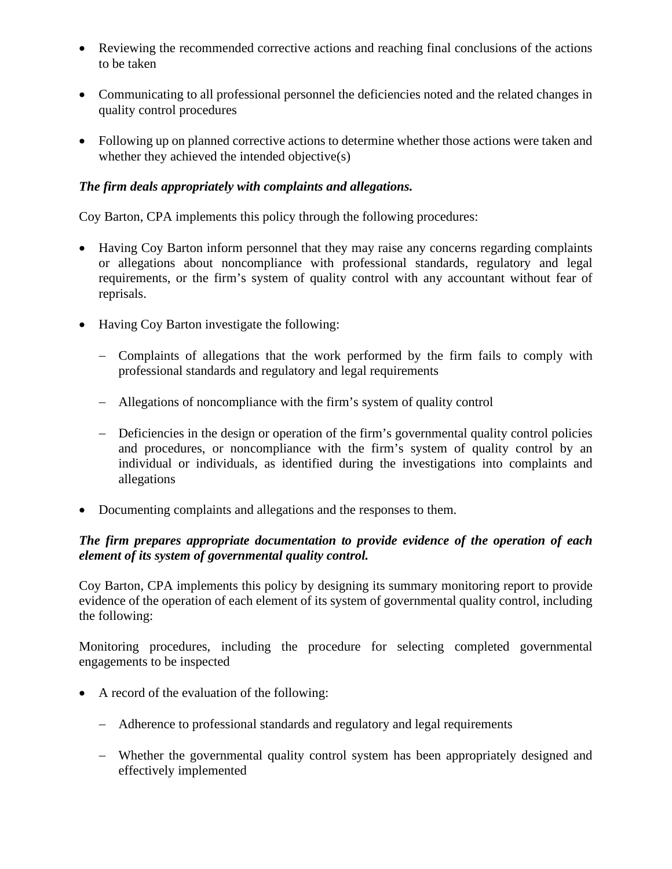- Reviewing the recommended corrective actions and reaching final conclusions of the actions to be taken
- Communicating to all professional personnel the deficiencies noted and the related changes in quality control procedures
- Following up on planned corrective actions to determine whether those actions were taken and whether they achieved the intended objective(s)

#### *The firm deals appropriately with complaints and allegations.*

Coy Barton, CPA implements this policy through the following procedures:

- Having Coy Barton inform personnel that they may raise any concerns regarding complaints or allegations about noncompliance with professional standards, regulatory and legal requirements, or the firm's system of quality control with any accountant without fear of reprisals.
- Having Coy Barton investigate the following:
	- − Complaints of allegations that the work performed by the firm fails to comply with professional standards and regulatory and legal requirements
	- − Allegations of noncompliance with the firm's system of quality control
	- − Deficiencies in the design or operation of the firm's governmental quality control policies and procedures, or noncompliance with the firm's system of quality control by an individual or individuals, as identified during the investigations into complaints and allegations
- Documenting complaints and allegations and the responses to them.

## *The firm prepares appropriate documentation to provide evidence of the operation of each element of its system of governmental quality control.*

Coy Barton, CPA implements this policy by designing its summary monitoring report to provide evidence of the operation of each element of its system of governmental quality control, including the following:

Monitoring procedures, including the procedure for selecting completed governmental engagements to be inspected

- A record of the evaluation of the following:
	- − Adherence to professional standards and regulatory and legal requirements
	- − Whether the governmental quality control system has been appropriately designed and effectively implemented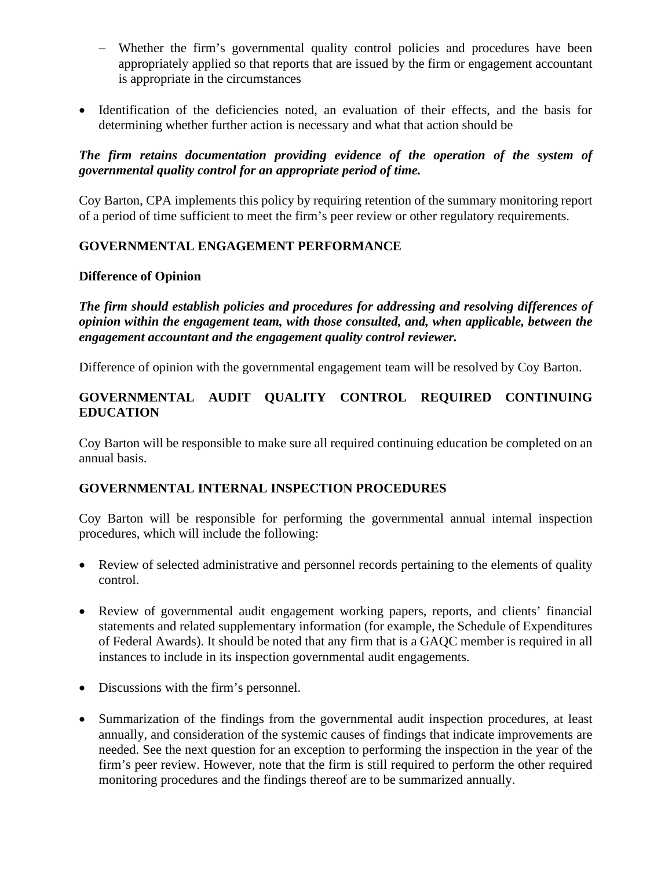- − Whether the firm's governmental quality control policies and procedures have been appropriately applied so that reports that are issued by the firm or engagement accountant is appropriate in the circumstances
- Identification of the deficiencies noted, an evaluation of their effects, and the basis for determining whether further action is necessary and what that action should be

#### *The firm retains documentation providing evidence of the operation of the system of governmental quality control for an appropriate period of time.*

Coy Barton, CPA implements this policy by requiring retention of the summary monitoring report of a period of time sufficient to meet the firm's peer review or other regulatory requirements.

#### **GOVERNMENTAL ENGAGEMENT PERFORMANCE**

#### **Difference of Opinion**

*The firm should establish policies and procedures for addressing and resolving differences of opinion within the engagement team, with those consulted, and, when applicable, between the engagement accountant and the engagement quality control reviewer.*

Difference of opinion with the governmental engagement team will be resolved by Coy Barton.

## **GOVERNMENTAL AUDIT QUALITY CONTROL REQUIRED CONTINUING EDUCATION**

Coy Barton will be responsible to make sure all required continuing education be completed on an annual basis.

## **GOVERNMENTAL INTERNAL INSPECTION PROCEDURES**

Coy Barton will be responsible for performing the governmental annual internal inspection procedures, which will include the following:

- Review of selected administrative and personnel records pertaining to the elements of quality control.
- Review of governmental audit engagement working papers, reports, and clients' financial statements and related supplementary information (for example, the Schedule of Expenditures of Federal Awards). It should be noted that any firm that is a GAQC member is required in all instances to include in its inspection governmental audit engagements.
- Discussions with the firm's personnel.
- Summarization of the findings from the governmental audit inspection procedures, at least annually, and consideration of the systemic causes of findings that indicate improvements are needed. See the next question for an exception to performing the inspection in the year of the firm's peer review. However, note that the firm is still required to perform the other required monitoring procedures and the findings thereof are to be summarized annually.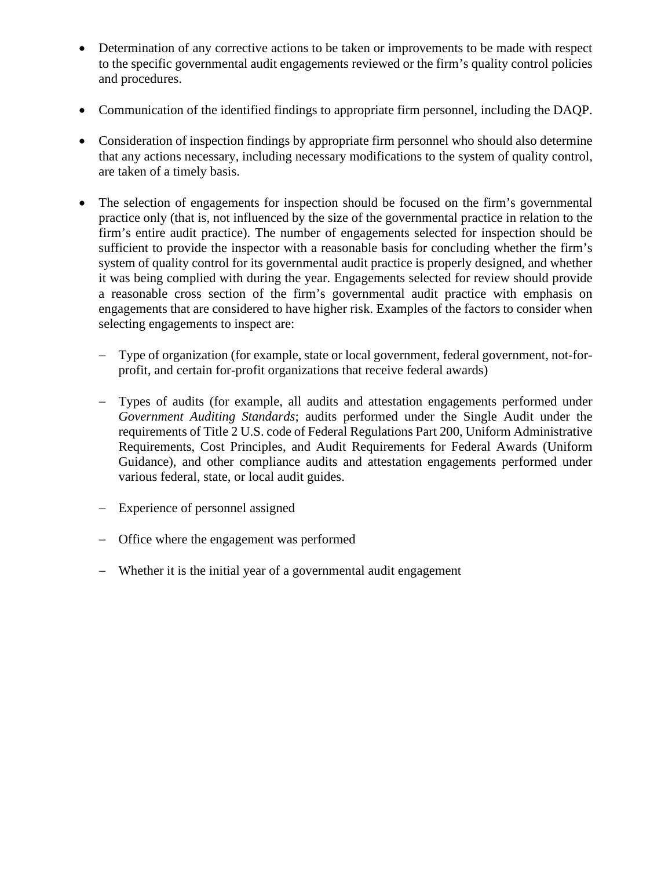- Determination of any corrective actions to be taken or improvements to be made with respect to the specific governmental audit engagements reviewed or the firm's quality control policies and procedures.
- Communication of the identified findings to appropriate firm personnel, including the DAQP.
- Consideration of inspection findings by appropriate firm personnel who should also determine that any actions necessary, including necessary modifications to the system of quality control, are taken of a timely basis.
- The selection of engagements for inspection should be focused on the firm's governmental practice only (that is, not influenced by the size of the governmental practice in relation to the firm's entire audit practice). The number of engagements selected for inspection should be sufficient to provide the inspector with a reasonable basis for concluding whether the firm's system of quality control for its governmental audit practice is properly designed, and whether it was being complied with during the year. Engagements selected for review should provide a reasonable cross section of the firm's governmental audit practice with emphasis on engagements that are considered to have higher risk. Examples of the factors to consider when selecting engagements to inspect are:
	- − Type of organization (for example, state or local government, federal government, not-forprofit, and certain for-profit organizations that receive federal awards)
	- − Types of audits (for example, all audits and attestation engagements performed under *Government Auditing Standards*; audits performed under the Single Audit under the requirements of Title 2 U.S. code of Federal Regulations Part 200, Uniform Administrative Requirements, Cost Principles, and Audit Requirements for Federal Awards (Uniform Guidance), and other compliance audits and attestation engagements performed under various federal, state, or local audit guides.
	- − Experience of personnel assigned
	- − Office where the engagement was performed
	- − Whether it is the initial year of a governmental audit engagement